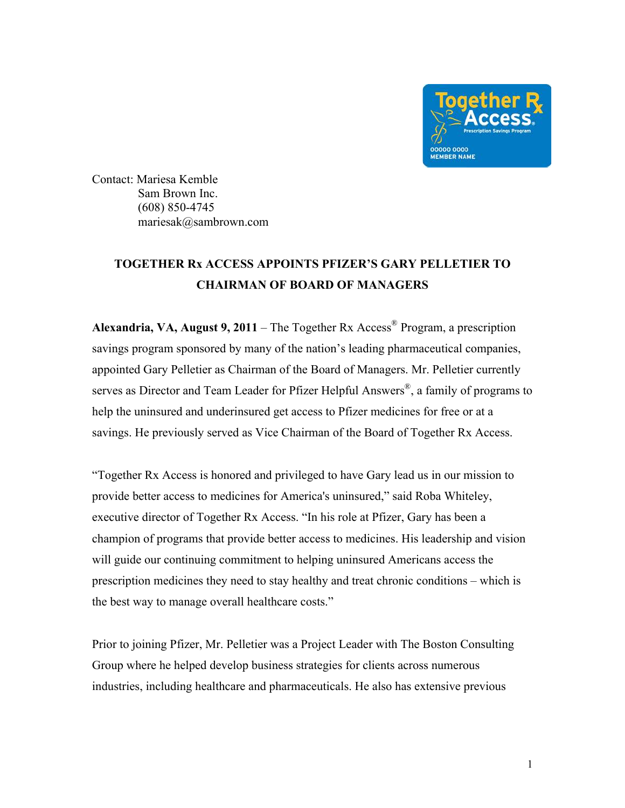

Contact: Mariesa Kemble Sam Brown Inc. (608) 850-4745 mariesak@sambrown.com

## **TOGETHER Rx ACCESS APPOINTS PFIZER'S GARY PELLETIER TO CHAIRMAN OF BOARD OF MANAGERS**

**Alexandria, VA, August 9, 2011** – The Together Rx Access® Program, a prescription savings program sponsored by many of the nation's leading pharmaceutical companies, appointed Gary Pelletier as Chairman of the Board of Managers. Mr. Pelletier currently serves as Director and Team Leader for Pfizer Helpful Answers<sup>®</sup>, a family of programs to help the uninsured and underinsured get access to Pfizer medicines for free or at a savings. He previously served as Vice Chairman of the Board of Together Rx Access.

"Together Rx Access is honored and privileged to have Gary lead us in our mission to provide better access to medicines for America's uninsured," said Roba Whiteley, executive director of Together Rx Access. "In his role at Pfizer, Gary has been a champion of programs that provide better access to medicines. His leadership and vision will guide our continuing commitment to helping uninsured Americans access the prescription medicines they need to stay healthy and treat chronic conditions – which is the best way to manage overall healthcare costs."

Prior to joining Pfizer, Mr. Pelletier was a Project Leader with The Boston Consulting Group where he helped develop business strategies for clients across numerous industries, including healthcare and pharmaceuticals. He also has extensive previous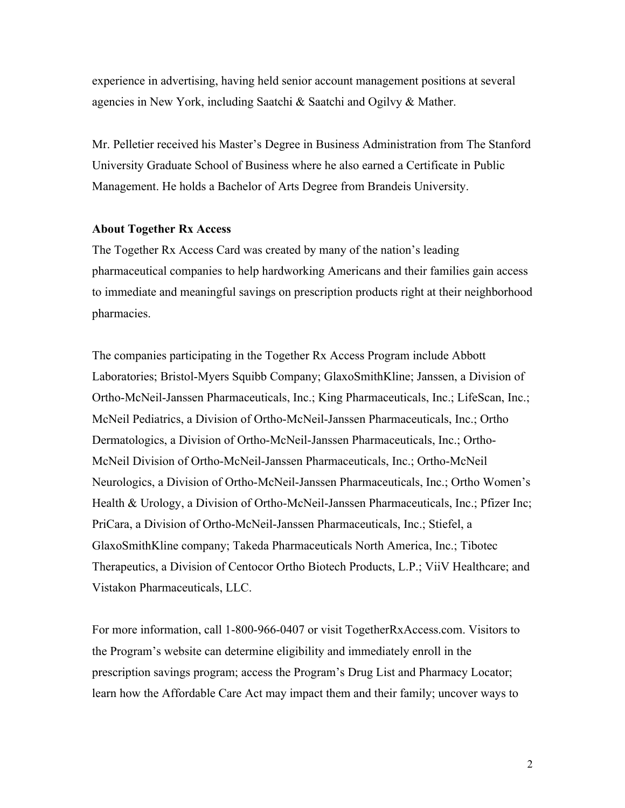experience in advertising, having held senior account management positions at several agencies in New York, including Saatchi & Saatchi and Ogilvy & Mather.

Mr. Pelletier received his Master's Degree in Business Administration from The Stanford University Graduate School of Business where he also earned a Certificate in Public Management. He holds a Bachelor of Arts Degree from Brandeis University.

## **About Together Rx Access**

The Together Rx Access Card was created by many of the nation's leading pharmaceutical companies to help hardworking Americans and their families gain access to immediate and meaningful savings on prescription products right at their neighborhood pharmacies.

The companies participating in the Together Rx Access Program include Abbott Laboratories; Bristol-Myers Squibb Company; GlaxoSmithKline; Janssen, a Division of Ortho-McNeil-Janssen Pharmaceuticals, Inc.; King Pharmaceuticals, Inc.; LifeScan, Inc.; McNeil Pediatrics, a Division of Ortho-McNeil-Janssen Pharmaceuticals, Inc.; Ortho Dermatologics, a Division of Ortho-McNeil-Janssen Pharmaceuticals, Inc.; Ortho-McNeil Division of Ortho-McNeil-Janssen Pharmaceuticals, Inc.; Ortho-McNeil Neurologics, a Division of Ortho-McNeil-Janssen Pharmaceuticals, Inc.; Ortho Women's Health & Urology, a Division of Ortho-McNeil-Janssen Pharmaceuticals, Inc.; Pfizer Inc; PriCara, a Division of Ortho-McNeil-Janssen Pharmaceuticals, Inc.; Stiefel, a GlaxoSmithKline company; Takeda Pharmaceuticals North America, Inc.; Tibotec Therapeutics, a Division of Centocor Ortho Biotech Products, L.P.; ViiV Healthcare; and Vistakon Pharmaceuticals, LLC.

For more information, call 1-800-966-0407 or visit TogetherRxAccess.com. Visitors to the Program's website can determine eligibility and immediately enroll in the prescription savings program; access the Program's Drug List and Pharmacy Locator; learn how the Affordable Care Act may impact them and their family; uncover ways to